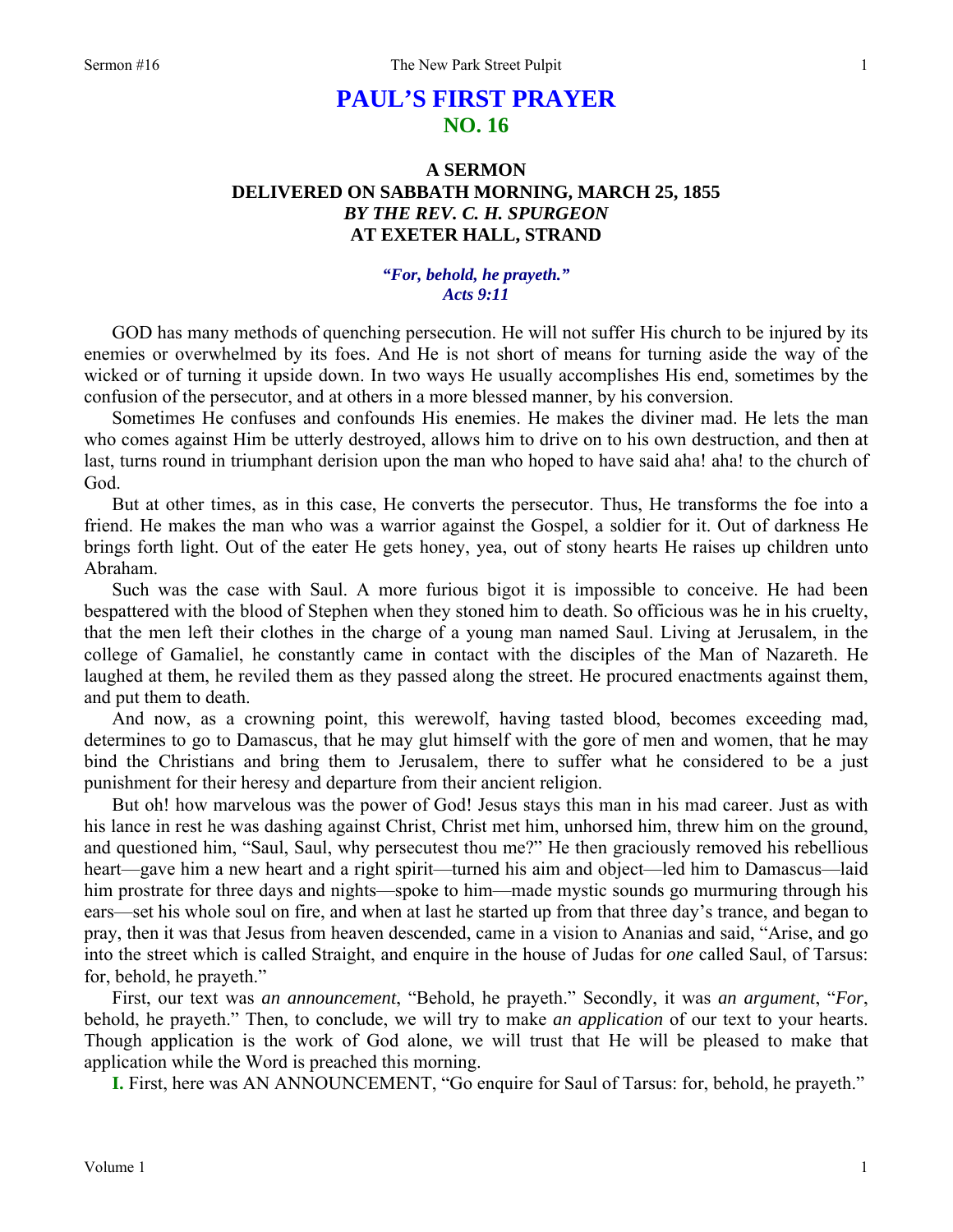# **PAUL'S FIRST PRAYER NO. 16**

## **A SERMON DELIVERED ON SABBATH MORNING, MARCH 25, 1855**  *BY THE REV. C. H. SPURGEON*  **AT EXETER HALL, STRAND**

*"For, behold, he prayeth." Acts 9:11* 

GOD has many methods of quenching persecution. He will not suffer His church to be injured by its enemies or overwhelmed by its foes. And He is not short of means for turning aside the way of the wicked or of turning it upside down. In two ways He usually accomplishes His end, sometimes by the confusion of the persecutor, and at others in a more blessed manner, by his conversion.

Sometimes He confuses and confounds His enemies. He makes the diviner mad. He lets the man who comes against Him be utterly destroyed, allows him to drive on to his own destruction, and then at last, turns round in triumphant derision upon the man who hoped to have said aha! aha! to the church of God.

But at other times, as in this case, He converts the persecutor. Thus, He transforms the foe into a friend. He makes the man who was a warrior against the Gospel, a soldier for it. Out of darkness He brings forth light. Out of the eater He gets honey, yea, out of stony hearts He raises up children unto Abraham.

Such was the case with Saul. A more furious bigot it is impossible to conceive. He had been bespattered with the blood of Stephen when they stoned him to death. So officious was he in his cruelty, that the men left their clothes in the charge of a young man named Saul. Living at Jerusalem, in the college of Gamaliel, he constantly came in contact with the disciples of the Man of Nazareth. He laughed at them, he reviled them as they passed along the street. He procured enactments against them, and put them to death.

And now, as a crowning point, this werewolf, having tasted blood, becomes exceeding mad, determines to go to Damascus, that he may glut himself with the gore of men and women, that he may bind the Christians and bring them to Jerusalem, there to suffer what he considered to be a just punishment for their heresy and departure from their ancient religion.

But oh! how marvelous was the power of God! Jesus stays this man in his mad career. Just as with his lance in rest he was dashing against Christ, Christ met him, unhorsed him, threw him on the ground, and questioned him, "Saul, Saul, why persecutest thou me?" He then graciously removed his rebellious heart—gave him a new heart and a right spirit—turned his aim and object—led him to Damascus—laid him prostrate for three days and nights—spoke to him—made mystic sounds go murmuring through his ears—set his whole soul on fire, and when at last he started up from that three day's trance, and began to pray, then it was that Jesus from heaven descended, came in a vision to Ananias and said, "Arise, and go into the street which is called Straight, and enquire in the house of Judas for *one* called Saul, of Tarsus: for, behold, he prayeth."

First, our text was *an announcement*, "Behold, he prayeth." Secondly, it was *an argument*, "*For*, behold, he prayeth." Then, to conclude, we will try to make *an application* of our text to your hearts. Though application is the work of God alone, we will trust that He will be pleased to make that application while the Word is preached this morning.

**I.** First, here was AN ANNOUNCEMENT, "Go enquire for Saul of Tarsus: for, behold, he prayeth."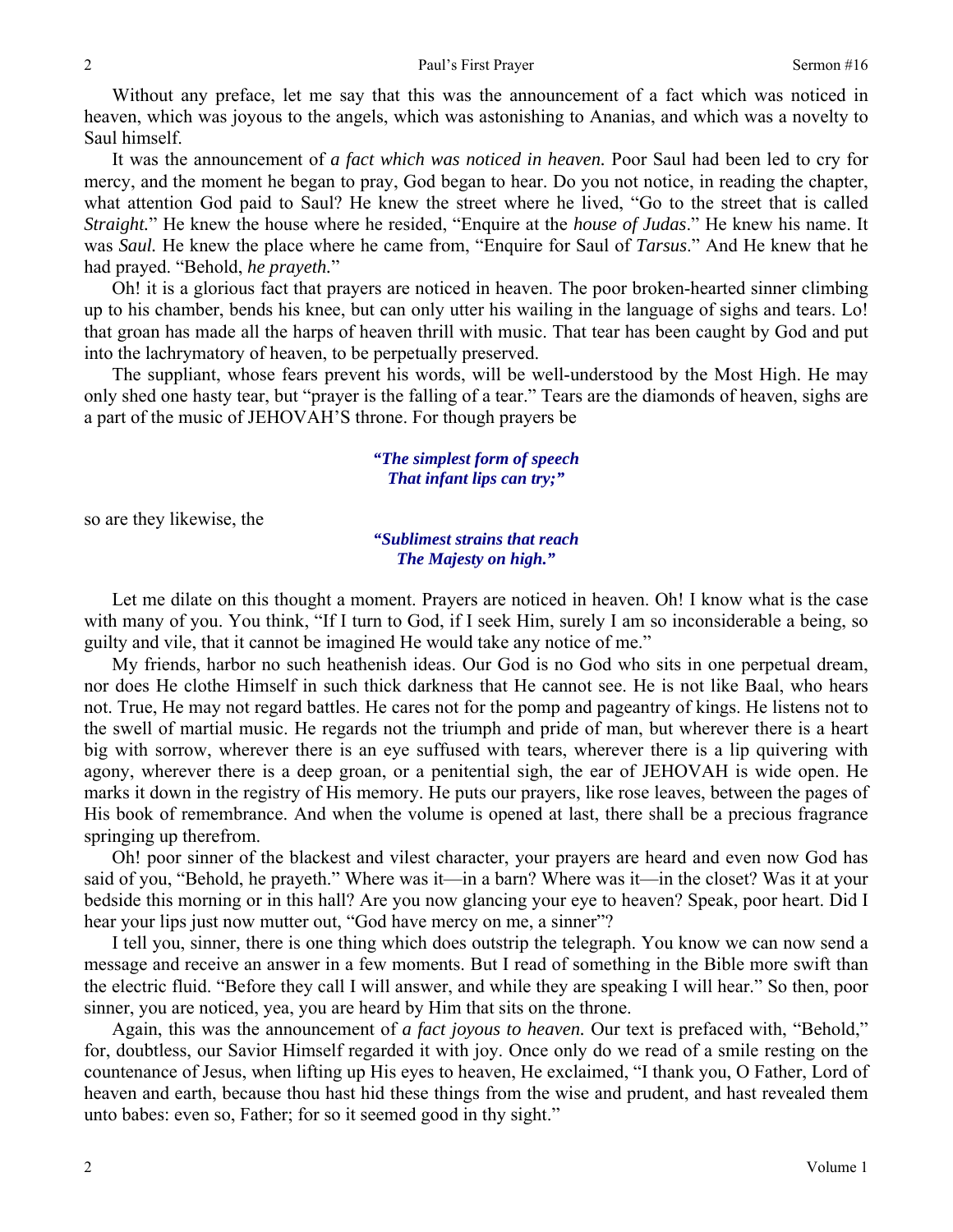Without any preface, let me say that this was the announcement of a fact which was noticed in heaven, which was joyous to the angels, which was astonishing to Ananias, and which was a novelty to Saul himself.

It was the announcement of *a fact which was noticed in heaven.* Poor Saul had been led to cry for mercy, and the moment he began to pray, God began to hear. Do you not notice, in reading the chapter, what attention God paid to Saul? He knew the street where he lived, "Go to the street that is called *Straight.*" He knew the house where he resided, "Enquire at the *house of Judas*." He knew his name. It was *Saul.* He knew the place where he came from, "Enquire for Saul of *Tarsus*." And He knew that he had prayed. "Behold, *he prayeth.*"

Oh! it is a glorious fact that prayers are noticed in heaven. The poor broken-hearted sinner climbing up to his chamber, bends his knee, but can only utter his wailing in the language of sighs and tears. Lo! that groan has made all the harps of heaven thrill with music. That tear has been caught by God and put into the lachrymatory of heaven, to be perpetually preserved.

The suppliant, whose fears prevent his words, will be well-understood by the Most High. He may only shed one hasty tear, but "prayer is the falling of a tear." Tears are the diamonds of heaven, sighs are a part of the music of JEHOVAH'S throne. For though prayers be

#### *"The simplest form of speech That infant lips can try;"*

so are they likewise, the

### *"Sublimest strains that reach The Majesty on high."*

Let me dilate on this thought a moment. Prayers are noticed in heaven. Oh! I know what is the case with many of you. You think, "If I turn to God, if I seek Him, surely I am so inconsiderable a being, so guilty and vile, that it cannot be imagined He would take any notice of me."

My friends, harbor no such heathenish ideas. Our God is no God who sits in one perpetual dream, nor does He clothe Himself in such thick darkness that He cannot see. He is not like Baal, who hears not. True, He may not regard battles. He cares not for the pomp and pageantry of kings. He listens not to the swell of martial music. He regards not the triumph and pride of man, but wherever there is a heart big with sorrow, wherever there is an eye suffused with tears, wherever there is a lip quivering with agony, wherever there is a deep groan, or a penitential sigh, the ear of JEHOVAH is wide open. He marks it down in the registry of His memory. He puts our prayers, like rose leaves, between the pages of His book of remembrance. And when the volume is opened at last, there shall be a precious fragrance springing up therefrom.

Oh! poor sinner of the blackest and vilest character, your prayers are heard and even now God has said of you, "Behold, he prayeth." Where was it—in a barn? Where was it—in the closet? Was it at your bedside this morning or in this hall? Are you now glancing your eye to heaven? Speak, poor heart. Did I hear your lips just now mutter out, "God have mercy on me, a sinner"?

I tell you, sinner, there is one thing which does outstrip the telegraph. You know we can now send a message and receive an answer in a few moments. But I read of something in the Bible more swift than the electric fluid. "Before they call I will answer, and while they are speaking I will hear." So then, poor sinner, you are noticed, yea, you are heard by Him that sits on the throne.

Again, this was the announcement of *a fact joyous to heaven.* Our text is prefaced with, "Behold," for, doubtless, our Savior Himself regarded it with joy. Once only do we read of a smile resting on the countenance of Jesus, when lifting up His eyes to heaven, He exclaimed, "I thank you, O Father, Lord of heaven and earth, because thou hast hid these things from the wise and prudent, and hast revealed them unto babes: even so, Father; for so it seemed good in thy sight."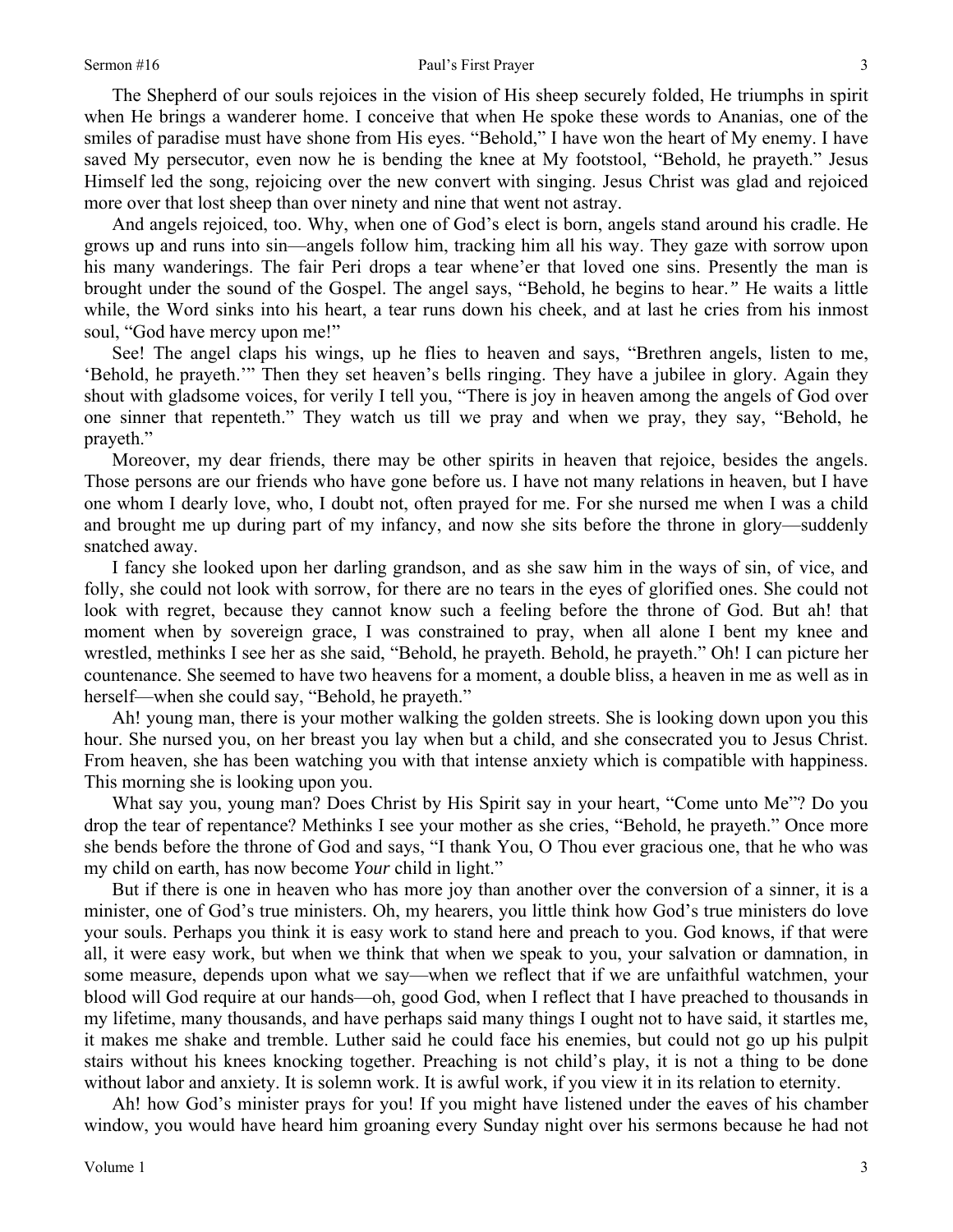#### Sermon #16 Paul's First Prayer

The Shepherd of our souls rejoices in the vision of His sheep securely folded, He triumphs in spirit when He brings a wanderer home. I conceive that when He spoke these words to Ananias, one of the smiles of paradise must have shone from His eyes. "Behold," I have won the heart of My enemy. I have saved My persecutor, even now he is bending the knee at My footstool, "Behold, he prayeth." Jesus Himself led the song, rejoicing over the new convert with singing. Jesus Christ was glad and rejoiced more over that lost sheep than over ninety and nine that went not astray.

And angels rejoiced, too. Why, when one of God's elect is born, angels stand around his cradle. He grows up and runs into sin—angels follow him, tracking him all his way. They gaze with sorrow upon his many wanderings. The fair Peri drops a tear whene'er that loved one sins. Presently the man is brought under the sound of the Gospel. The angel says, "Behold, he begins to hear.*"* He waits a little while, the Word sinks into his heart, a tear runs down his cheek, and at last he cries from his inmost soul, "God have mercy upon me!"

See! The angel claps his wings, up he flies to heaven and says, "Brethren angels, listen to me, 'Behold, he prayeth.'" Then they set heaven's bells ringing. They have a jubilee in glory. Again they shout with gladsome voices, for verily I tell you, "There is joy in heaven among the angels of God over one sinner that repenteth." They watch us till we pray and when we pray, they say, "Behold, he prayeth."

Moreover, my dear friends, there may be other spirits in heaven that rejoice, besides the angels. Those persons are our friends who have gone before us. I have not many relations in heaven, but I have one whom I dearly love, who, I doubt not, often prayed for me. For she nursed me when I was a child and brought me up during part of my infancy, and now she sits before the throne in glory—suddenly snatched away.

I fancy she looked upon her darling grandson, and as she saw him in the ways of sin, of vice, and folly, she could not look with sorrow, for there are no tears in the eyes of glorified ones. She could not look with regret, because they cannot know such a feeling before the throne of God. But ah! that moment when by sovereign grace, I was constrained to pray, when all alone I bent my knee and wrestled, methinks I see her as she said, "Behold, he prayeth. Behold, he prayeth." Oh! I can picture her countenance. She seemed to have two heavens for a moment, a double bliss, a heaven in me as well as in herself—when she could say, "Behold, he prayeth."

Ah! young man, there is your mother walking the golden streets. She is looking down upon you this hour. She nursed you, on her breast you lay when but a child, and she consecrated you to Jesus Christ. From heaven, she has been watching you with that intense anxiety which is compatible with happiness. This morning she is looking upon you.

What say you, young man? Does Christ by His Spirit say in your heart, "Come unto Me"? Do you drop the tear of repentance? Methinks I see your mother as she cries, "Behold, he prayeth." Once more she bends before the throne of God and says, "I thank You, O Thou ever gracious one, that he who was my child on earth, has now become *Your* child in light."

But if there is one in heaven who has more joy than another over the conversion of a sinner, it is a minister, one of God's true ministers. Oh, my hearers, you little think how God's true ministers do love your souls. Perhaps you think it is easy work to stand here and preach to you. God knows, if that were all, it were easy work, but when we think that when we speak to you, your salvation or damnation, in some measure, depends upon what we say—when we reflect that if we are unfaithful watchmen, your blood will God require at our hands—oh, good God, when I reflect that I have preached to thousands in my lifetime, many thousands, and have perhaps said many things I ought not to have said, it startles me, it makes me shake and tremble. Luther said he could face his enemies, but could not go up his pulpit stairs without his knees knocking together. Preaching is not child's play, it is not a thing to be done without labor and anxiety. It is solemn work. It is awful work, if you view it in its relation to eternity.

Ah! how God's minister prays for you! If you might have listened under the eaves of his chamber window, you would have heard him groaning every Sunday night over his sermons because he had not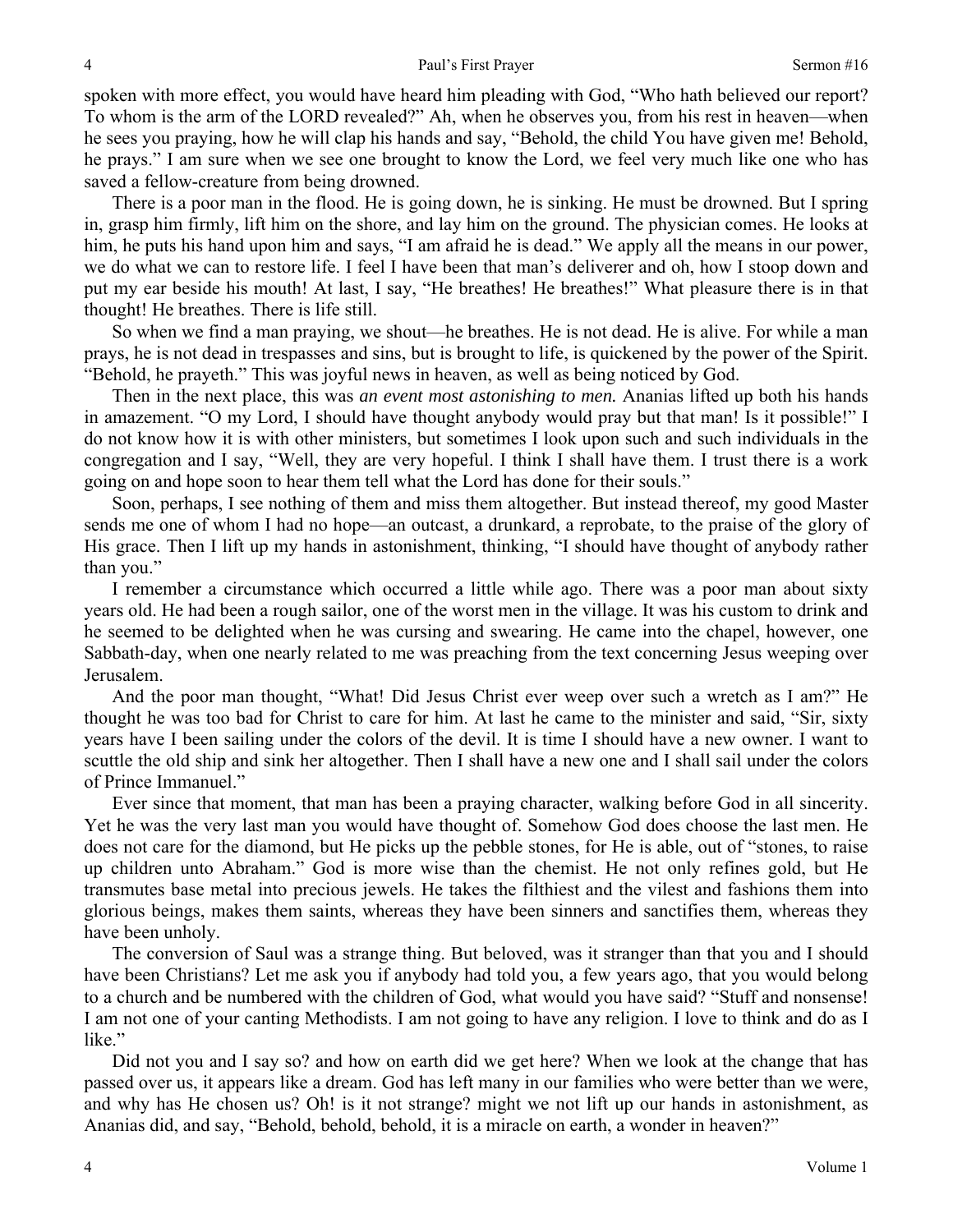spoken with more effect, you would have heard him pleading with God, "Who hath believed our report? To whom is the arm of the LORD revealed?" Ah, when he observes you, from his rest in heaven—when he sees you praying, how he will clap his hands and say, "Behold, the child You have given me! Behold, he prays." I am sure when we see one brought to know the Lord, we feel very much like one who has saved a fellow-creature from being drowned.

There is a poor man in the flood. He is going down, he is sinking. He must be drowned. But I spring in, grasp him firmly, lift him on the shore, and lay him on the ground. The physician comes. He looks at him, he puts his hand upon him and says, "I am afraid he is dead." We apply all the means in our power, we do what we can to restore life. I feel I have been that man's deliverer and oh, how I stoop down and put my ear beside his mouth! At last, I say, "He breathes! He breathes!" What pleasure there is in that thought! He breathes. There is life still.

So when we find a man praying, we shout—he breathes. He is not dead. He is alive. For while a man prays, he is not dead in trespasses and sins, but is brought to life, is quickened by the power of the Spirit. "Behold, he prayeth." This was joyful news in heaven, as well as being noticed by God.

Then in the next place, this was *an event most astonishing to men.* Ananias lifted up both his hands in amazement. "O my Lord, I should have thought anybody would pray but that man! Is it possible!" I do not know how it is with other ministers, but sometimes I look upon such and such individuals in the congregation and I say, "Well, they are very hopeful. I think I shall have them. I trust there is a work going on and hope soon to hear them tell what the Lord has done for their souls."

Soon, perhaps, I see nothing of them and miss them altogether. But instead thereof, my good Master sends me one of whom I had no hope—an outcast, a drunkard, a reprobate, to the praise of the glory of His grace. Then I lift up my hands in astonishment, thinking, "I should have thought of anybody rather than you."

I remember a circumstance which occurred a little while ago. There was a poor man about sixty years old. He had been a rough sailor, one of the worst men in the village. It was his custom to drink and he seemed to be delighted when he was cursing and swearing. He came into the chapel, however, one Sabbath-day, when one nearly related to me was preaching from the text concerning Jesus weeping over Jerusalem.

And the poor man thought, "What! Did Jesus Christ ever weep over such a wretch as I am?" He thought he was too bad for Christ to care for him. At last he came to the minister and said, "Sir, sixty years have I been sailing under the colors of the devil. It is time I should have a new owner. I want to scuttle the old ship and sink her altogether. Then I shall have a new one and I shall sail under the colors of Prince Immanuel."

Ever since that moment, that man has been a praying character, walking before God in all sincerity. Yet he was the very last man you would have thought of. Somehow God does choose the last men. He does not care for the diamond, but He picks up the pebble stones, for He is able, out of "stones, to raise up children unto Abraham." God is more wise than the chemist. He not only refines gold, but He transmutes base metal into precious jewels. He takes the filthiest and the vilest and fashions them into glorious beings, makes them saints, whereas they have been sinners and sanctifies them, whereas they have been unholy.

The conversion of Saul was a strange thing. But beloved, was it stranger than that you and I should have been Christians? Let me ask you if anybody had told you, a few years ago, that you would belong to a church and be numbered with the children of God, what would you have said? "Stuff and nonsense! I am not one of your canting Methodists. I am not going to have any religion. I love to think and do as I like."

Did not you and I say so? and how on earth did we get here? When we look at the change that has passed over us, it appears like a dream. God has left many in our families who were better than we were, and why has He chosen us? Oh! is it not strange? might we not lift up our hands in astonishment, as Ananias did, and say, "Behold, behold, behold, it is a miracle on earth, a wonder in heaven?"

4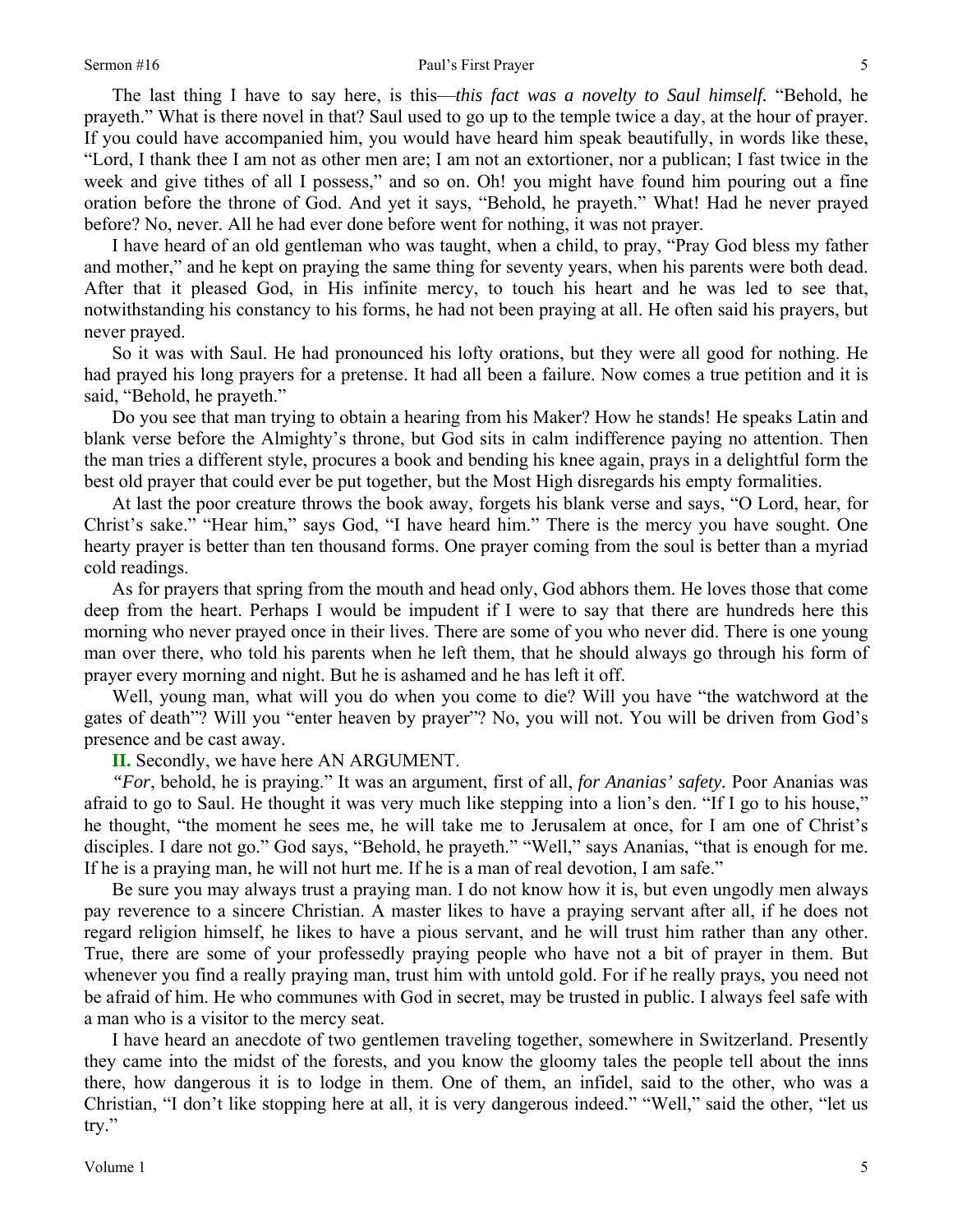The last thing I have to say here, is this—*this fact was a novelty to Saul himself.* "Behold, he prayeth." What is there novel in that? Saul used to go up to the temple twice a day, at the hour of prayer. If you could have accompanied him, you would have heard him speak beautifully, in words like these, "Lord, I thank thee I am not as other men are; I am not an extortioner, nor a publican; I fast twice in the week and give tithes of all I possess," and so on. Oh! you might have found him pouring out a fine oration before the throne of God. And yet it says, "Behold, he prayeth." What! Had he never prayed before? No, never. All he had ever done before went for nothing, it was not prayer.

I have heard of an old gentleman who was taught, when a child, to pray, "Pray God bless my father and mother," and he kept on praying the same thing for seventy years, when his parents were both dead. After that it pleased God, in His infinite mercy, to touch his heart and he was led to see that, notwithstanding his constancy to his forms, he had not been praying at all. He often said his prayers, but never prayed.

So it was with Saul. He had pronounced his lofty orations, but they were all good for nothing. He had prayed his long prayers for a pretense. It had all been a failure. Now comes a true petition and it is said, "Behold, he prayeth."

Do you see that man trying to obtain a hearing from his Maker? How he stands! He speaks Latin and blank verse before the Almighty's throne, but God sits in calm indifference paying no attention. Then the man tries a different style, procures a book and bending his knee again, prays in a delightful form the best old prayer that could ever be put together, but the Most High disregards his empty formalities.

At last the poor creature throws the book away, forgets his blank verse and says, "O Lord, hear, for Christ's sake." "Hear him," says God, "I have heard him." There is the mercy you have sought. One hearty prayer is better than ten thousand forms. One prayer coming from the soul is better than a myriad cold readings.

As for prayers that spring from the mouth and head only, God abhors them. He loves those that come deep from the heart. Perhaps I would be impudent if I were to say that there are hundreds here this morning who never prayed once in their lives. There are some of you who never did. There is one young man over there, who told his parents when he left them, that he should always go through his form of prayer every morning and night. But he is ashamed and he has left it off.

Well, young man, what will you do when you come to die? Will you have "the watchword at the gates of death"? Will you "enter heaven by prayer"? No, you will not. You will be driven from God's presence and be cast away.

**II.** Secondly, we have here AN ARGUMENT.

*"For*, behold, he is praying." It was an argument, first of all, *for Ananias' safety.* Poor Ananias was afraid to go to Saul. He thought it was very much like stepping into a lion's den. "If I go to his house," he thought, "the moment he sees me, he will take me to Jerusalem at once, for I am one of Christ's disciples. I dare not go." God says, "Behold, he prayeth." "Well," says Ananias, "that is enough for me. If he is a praying man, he will not hurt me. If he is a man of real devotion, I am safe."

Be sure you may always trust a praying man. I do not know how it is, but even ungodly men always pay reverence to a sincere Christian. A master likes to have a praying servant after all, if he does not regard religion himself, he likes to have a pious servant, and he will trust him rather than any other. True, there are some of your professedly praying people who have not a bit of prayer in them. But whenever you find a really praying man, trust him with untold gold. For if he really prays, you need not be afraid of him. He who communes with God in secret, may be trusted in public. I always feel safe with a man who is a visitor to the mercy seat.

I have heard an anecdote of two gentlemen traveling together, somewhere in Switzerland. Presently they came into the midst of the forests, and you know the gloomy tales the people tell about the inns there, how dangerous it is to lodge in them. One of them, an infidel, said to the other, who was a Christian, "I don't like stopping here at all, it is very dangerous indeed." "Well," said the other, "let us try."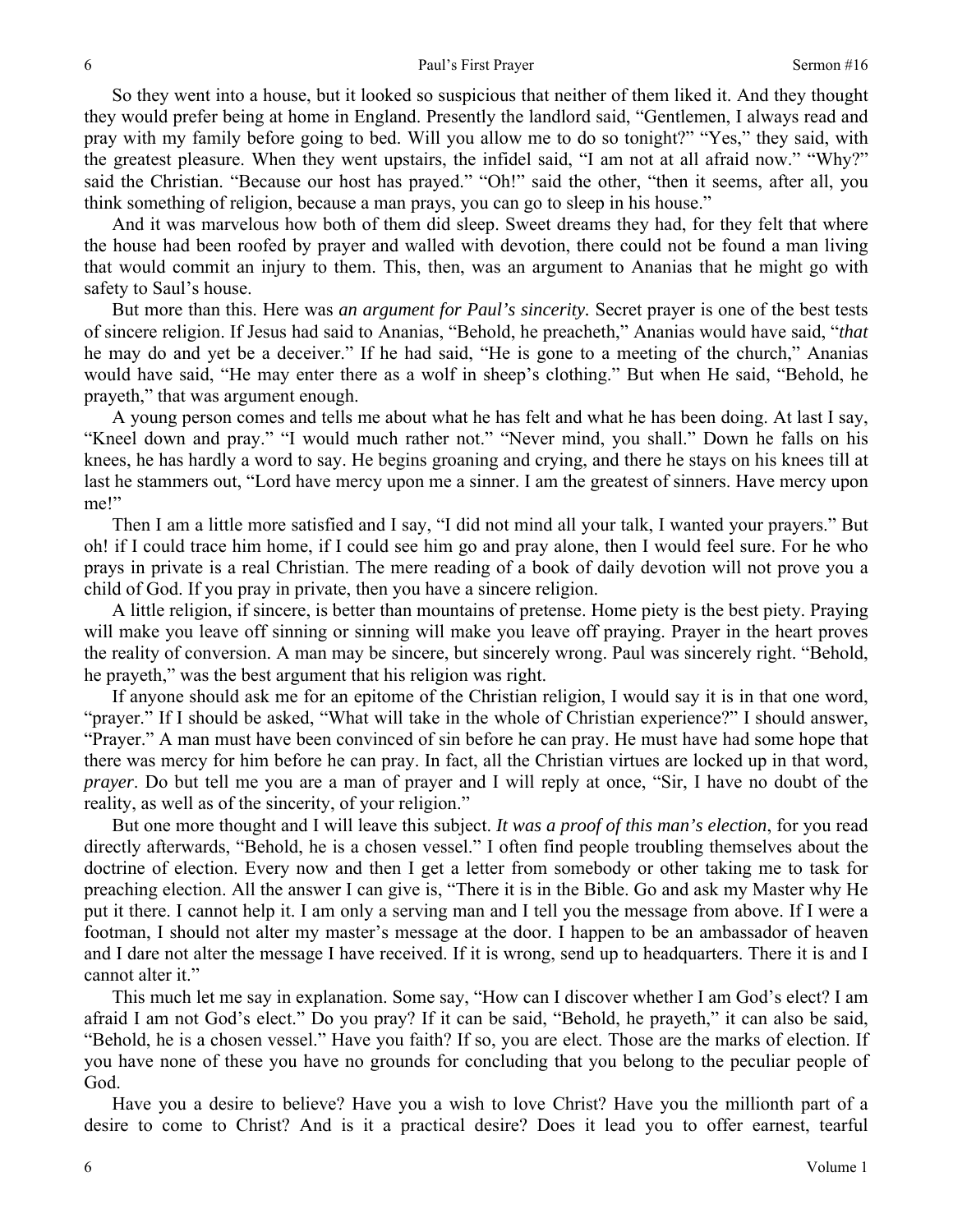So they went into a house, but it looked so suspicious that neither of them liked it. And they thought they would prefer being at home in England. Presently the landlord said, "Gentlemen, I always read and pray with my family before going to bed. Will you allow me to do so tonight?" "Yes," they said, with the greatest pleasure. When they went upstairs, the infidel said, "I am not at all afraid now." "Why?" said the Christian. "Because our host has prayed." "Oh!" said the other, "then it seems, after all, you think something of religion, because a man prays, you can go to sleep in his house."

And it was marvelous how both of them did sleep. Sweet dreams they had, for they felt that where the house had been roofed by prayer and walled with devotion, there could not be found a man living that would commit an injury to them. This, then, was an argument to Ananias that he might go with safety to Saul's house.

But more than this. Here was *an argument for Paul's sincerity.* Secret prayer is one of the best tests of sincere religion. If Jesus had said to Ananias, "Behold, he preacheth," Ananias would have said, "*that*  he may do and yet be a deceiver." If he had said, "He is gone to a meeting of the church," Ananias would have said, "He may enter there as a wolf in sheep's clothing." But when He said, "Behold, he prayeth," that was argument enough.

A young person comes and tells me about what he has felt and what he has been doing. At last I say, "Kneel down and pray." "I would much rather not." "Never mind, you shall." Down he falls on his knees, he has hardly a word to say. He begins groaning and crying, and there he stays on his knees till at last he stammers out, "Lord have mercy upon me a sinner. I am the greatest of sinners. Have mercy upon me!"

Then I am a little more satisfied and I say, "I did not mind all your talk, I wanted your prayers." But oh! if I could trace him home, if I could see him go and pray alone, then I would feel sure. For he who prays in private is a real Christian. The mere reading of a book of daily devotion will not prove you a child of God. If you pray in private, then you have a sincere religion.

A little religion, if sincere, is better than mountains of pretense. Home piety is the best piety. Praying will make you leave off sinning or sinning will make you leave off praying. Prayer in the heart proves the reality of conversion. A man may be sincere, but sincerely wrong. Paul was sincerely right. "Behold, he prayeth," was the best argument that his religion was right.

If anyone should ask me for an epitome of the Christian religion, I would say it is in that one word, "prayer." If I should be asked, "What will take in the whole of Christian experience?" I should answer, "Prayer." A man must have been convinced of sin before he can pray. He must have had some hope that there was mercy for him before he can pray. In fact, all the Christian virtues are locked up in that word, *prayer*. Do but tell me you are a man of prayer and I will reply at once, "Sir, I have no doubt of the reality, as well as of the sincerity, of your religion."

But one more thought and I will leave this subject. *It was a proof of this man's election*, for you read directly afterwards, "Behold, he is a chosen vessel." I often find people troubling themselves about the doctrine of election. Every now and then I get a letter from somebody or other taking me to task for preaching election. All the answer I can give is, "There it is in the Bible. Go and ask my Master why He put it there. I cannot help it. I am only a serving man and I tell you the message from above. If I were a footman, I should not alter my master's message at the door. I happen to be an ambassador of heaven and I dare not alter the message I have received. If it is wrong, send up to headquarters. There it is and I cannot alter it."

This much let me say in explanation. Some say, "How can I discover whether I am God's elect? I am afraid I am not God's elect." Do you pray? If it can be said, "Behold, he prayeth," it can also be said, "Behold, he is a chosen vessel." Have you faith? If so, you are elect. Those are the marks of election. If you have none of these you have no grounds for concluding that you belong to the peculiar people of God.

Have you a desire to believe? Have you a wish to love Christ? Have you the millionth part of a desire to come to Christ? And is it a practical desire? Does it lead you to offer earnest, tearful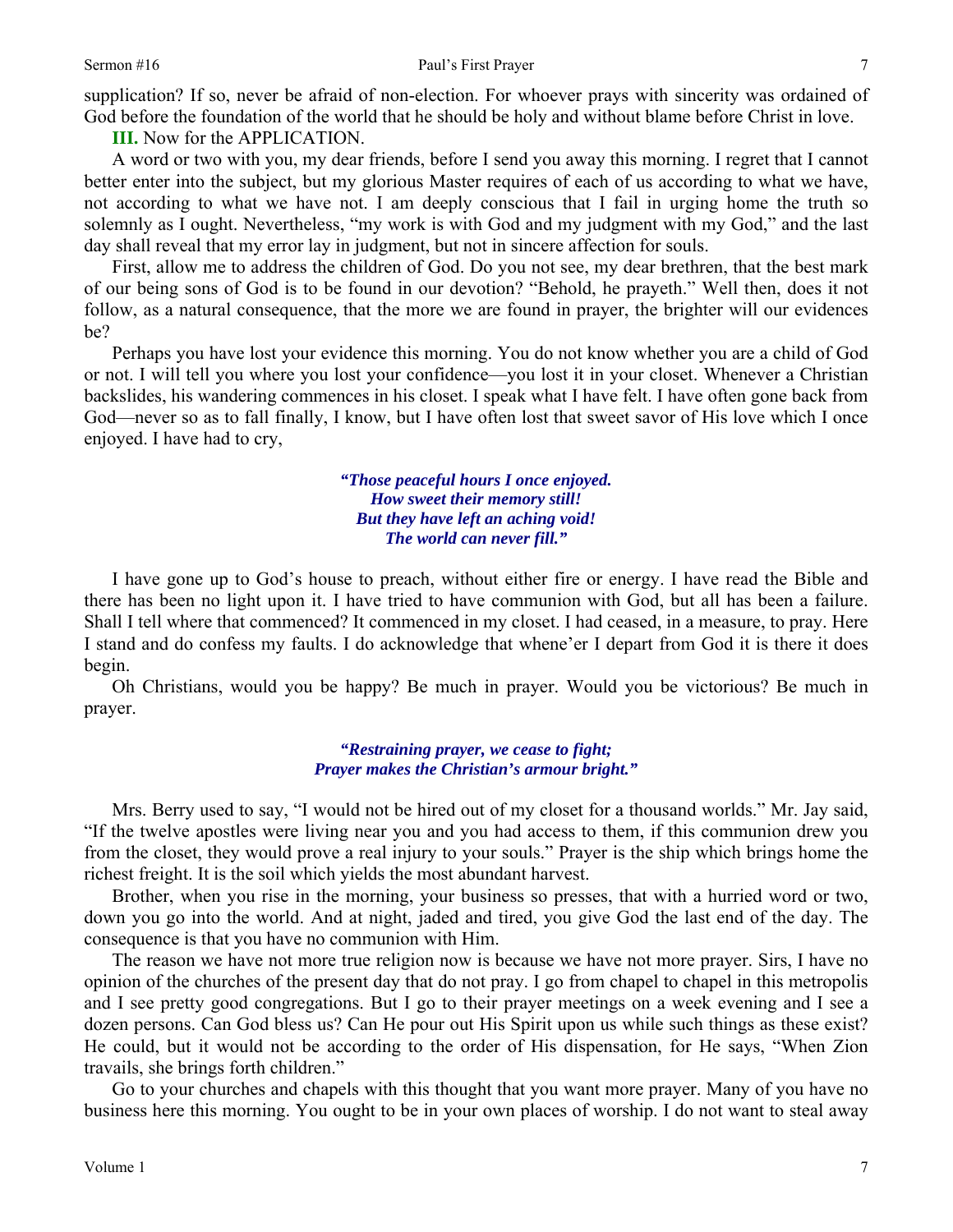supplication? If so, never be afraid of non-election. For whoever prays with sincerity was ordained of God before the foundation of the world that he should be holy and without blame before Christ in love.

**III.** Now for the APPLICATION.

A word or two with you, my dear friends, before I send you away this morning. I regret that I cannot better enter into the subject, but my glorious Master requires of each of us according to what we have, not according to what we have not. I am deeply conscious that I fail in urging home the truth so solemnly as I ought. Nevertheless, "my work is with God and my judgment with my God," and the last day shall reveal that my error lay in judgment, but not in sincere affection for souls.

First, allow me to address the children of God. Do you not see, my dear brethren, that the best mark of our being sons of God is to be found in our devotion? "Behold, he prayeth." Well then, does it not follow, as a natural consequence, that the more we are found in prayer, the brighter will our evidences be?

Perhaps you have lost your evidence this morning. You do not know whether you are a child of God or not. I will tell you where you lost your confidence—you lost it in your closet. Whenever a Christian backslides, his wandering commences in his closet. I speak what I have felt. I have often gone back from God—never so as to fall finally, I know, but I have often lost that sweet savor of His love which I once enjoyed. I have had to cry,

> *"Those peaceful hours I once enjoyed. How sweet their memory still! But they have left an aching void! The world can never fill."*

I have gone up to God's house to preach, without either fire or energy. I have read the Bible and there has been no light upon it. I have tried to have communion with God, but all has been a failure. Shall I tell where that commenced? It commenced in my closet. I had ceased, in a measure, to pray. Here I stand and do confess my faults. I do acknowledge that whene'er I depart from God it is there it does begin.

Oh Christians, would you be happy? Be much in prayer. Would you be victorious? Be much in prayer.

> *"Restraining prayer, we cease to fight; Prayer makes the Christian's armour bright."*

Mrs. Berry used to say, "I would not be hired out of my closet for a thousand worlds." Mr. Jay said, "If the twelve apostles were living near you and you had access to them, if this communion drew you from the closet, they would prove a real injury to your souls." Prayer is the ship which brings home the richest freight. It is the soil which yields the most abundant harvest.

Brother, when you rise in the morning, your business so presses, that with a hurried word or two, down you go into the world. And at night, jaded and tired, you give God the last end of the day. The consequence is that you have no communion with Him.

The reason we have not more true religion now is because we have not more prayer. Sirs, I have no opinion of the churches of the present day that do not pray. I go from chapel to chapel in this metropolis and I see pretty good congregations. But I go to their prayer meetings on a week evening and I see a dozen persons. Can God bless us? Can He pour out His Spirit upon us while such things as these exist? He could, but it would not be according to the order of His dispensation, for He says, "When Zion travails, she brings forth children."

Go to your churches and chapels with this thought that you want more prayer. Many of you have no business here this morning. You ought to be in your own places of worship. I do not want to steal away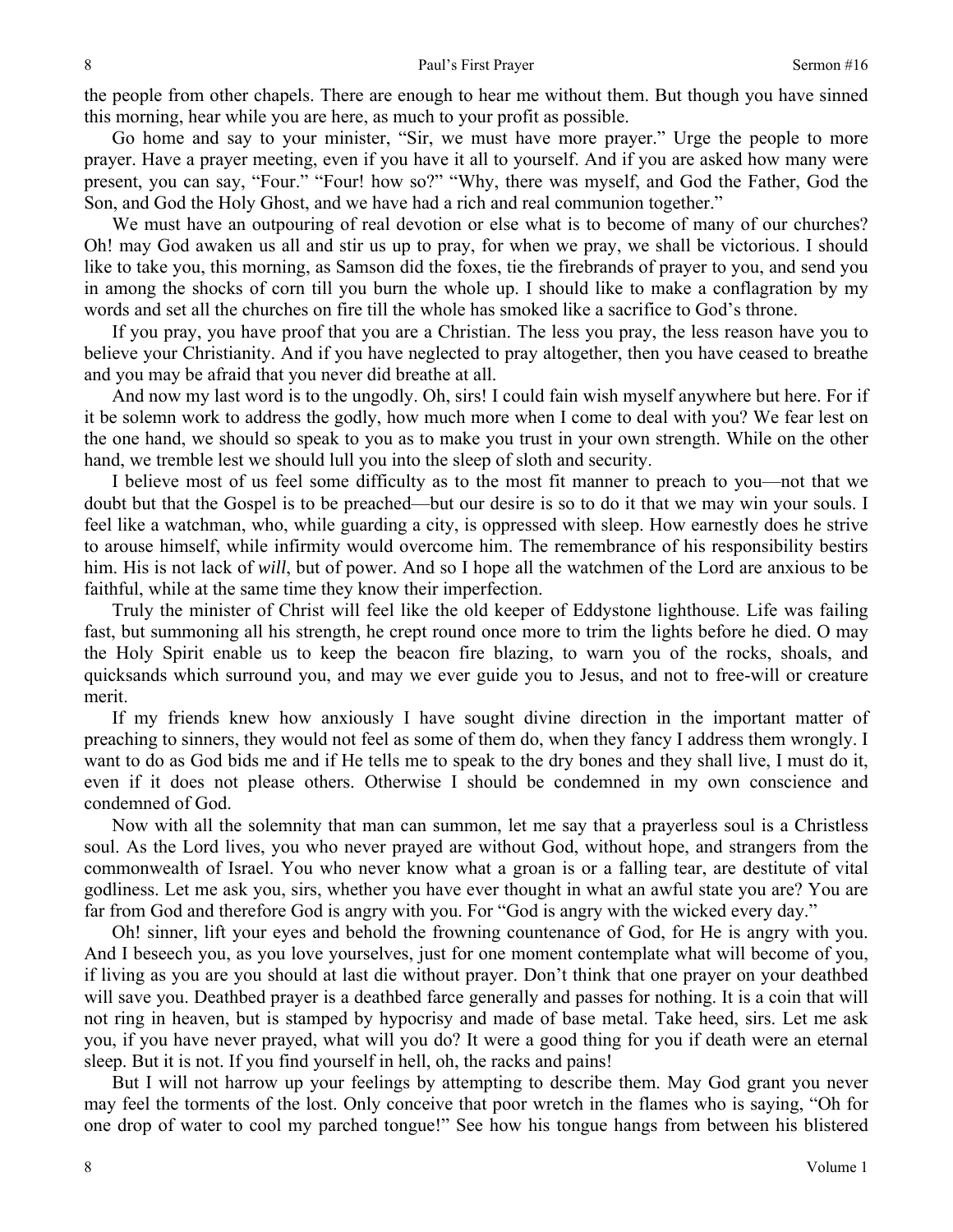the people from other chapels. There are enough to hear me without them. But though you have sinned this morning, hear while you are here, as much to your profit as possible.

Go home and say to your minister, "Sir, we must have more prayer." Urge the people to more prayer. Have a prayer meeting, even if you have it all to yourself. And if you are asked how many were present, you can say, "Four." "Four! how so?" "Why, there was myself, and God the Father, God the Son, and God the Holy Ghost, and we have had a rich and real communion together."

We must have an outpouring of real devotion or else what is to become of many of our churches? Oh! may God awaken us all and stir us up to pray, for when we pray, we shall be victorious. I should like to take you, this morning, as Samson did the foxes, tie the firebrands of prayer to you, and send you in among the shocks of corn till you burn the whole up. I should like to make a conflagration by my words and set all the churches on fire till the whole has smoked like a sacrifice to God's throne.

If you pray, you have proof that you are a Christian. The less you pray, the less reason have you to believe your Christianity. And if you have neglected to pray altogether, then you have ceased to breathe and you may be afraid that you never did breathe at all.

And now my last word is to the ungodly. Oh, sirs! I could fain wish myself anywhere but here. For if it be solemn work to address the godly, how much more when I come to deal with you? We fear lest on the one hand, we should so speak to you as to make you trust in your own strength. While on the other hand, we tremble lest we should lull you into the sleep of sloth and security.

I believe most of us feel some difficulty as to the most fit manner to preach to you—not that we doubt but that the Gospel is to be preached—but our desire is so to do it that we may win your souls. I feel like a watchman, who, while guarding a city, is oppressed with sleep. How earnestly does he strive to arouse himself, while infirmity would overcome him. The remembrance of his responsibility bestirs him. His is not lack of *will*, but of power. And so I hope all the watchmen of the Lord are anxious to be faithful, while at the same time they know their imperfection.

Truly the minister of Christ will feel like the old keeper of Eddystone lighthouse. Life was failing fast, but summoning all his strength, he crept round once more to trim the lights before he died. O may the Holy Spirit enable us to keep the beacon fire blazing, to warn you of the rocks, shoals, and quicksands which surround you, and may we ever guide you to Jesus, and not to free-will or creature merit.

If my friends knew how anxiously I have sought divine direction in the important matter of preaching to sinners, they would not feel as some of them do, when they fancy I address them wrongly. I want to do as God bids me and if He tells me to speak to the dry bones and they shall live, I must do it, even if it does not please others. Otherwise I should be condemned in my own conscience and condemned of God.

Now with all the solemnity that man can summon, let me say that a prayerless soul is a Christless soul. As the Lord lives, you who never prayed are without God, without hope, and strangers from the commonwealth of Israel. You who never know what a groan is or a falling tear, are destitute of vital godliness. Let me ask you, sirs, whether you have ever thought in what an awful state you are? You are far from God and therefore God is angry with you. For "God is angry with the wicked every day."

Oh! sinner, lift your eyes and behold the frowning countenance of God, for He is angry with you. And I beseech you, as you love yourselves, just for one moment contemplate what will become of you, if living as you are you should at last die without prayer. Don't think that one prayer on your deathbed will save you. Deathbed prayer is a deathbed farce generally and passes for nothing. It is a coin that will not ring in heaven, but is stamped by hypocrisy and made of base metal. Take heed, sirs. Let me ask you, if you have never prayed, what will you do? It were a good thing for you if death were an eternal sleep. But it is not. If you find yourself in hell, oh, the racks and pains!

But I will not harrow up your feelings by attempting to describe them. May God grant you never may feel the torments of the lost. Only conceive that poor wretch in the flames who is saying, "Oh for one drop of water to cool my parched tongue!" See how his tongue hangs from between his blistered

8